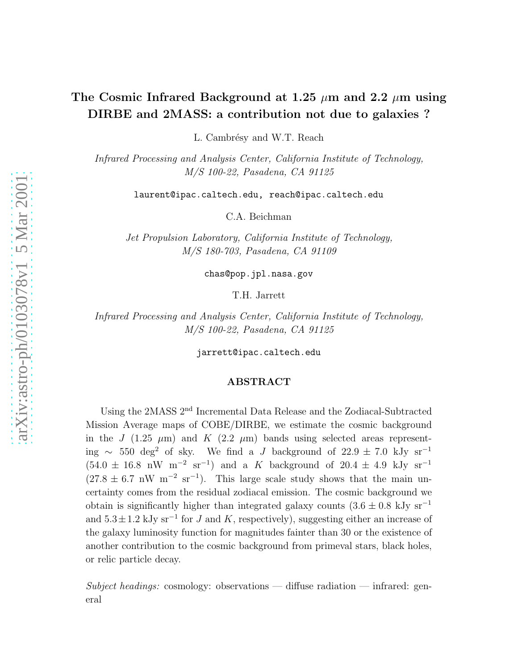# The Cosmic Infrared Background at 1.25  $\mu$ m and 2.2  $\mu$ m using DIRBE and 2MASS: a contribution not due to galaxies ?

L. Cambrésy and W.T. Reach

Infrared Processing and Analysis Center, California Institute of Technology, M/S 100-22, Pasadena, CA 91125

laurent@ipac.caltech.edu, reach@ipac.caltech.edu

C.A. Beichman

Jet Propulsion Laboratory, California Institute of Technology, M/S 180-703, Pasadena, CA 91109

chas@pop.jpl.nasa.gov

T.H. Jarrett

Infrared Processing and Analysis Center, California Institute of Technology, M/S 100-22, Pasadena, CA 91125

jarrett@ipac.caltech.edu

# ABSTRACT

Using the 2MASS 2nd Incremental Data Release and the Zodiacal-Subtracted Mission Average maps of COBE/DIRBE, we estimate the cosmic background in the J (1.25  $\mu$ m) and K (2.2  $\mu$ m) bands using selected areas representing ∼ 550 deg<sup>2</sup> of sky. We find a J background of 22.9 ± 7.0 kJv sr<sup>-1</sup>  $(54.0 \pm 16.8 \text{ nW} \text{ m}^{-2} \text{ sr}^{-1})$  and a K background of  $20.4 \pm 4.9 \text{ kJy} \text{ sr}^{-1}$  $(27.8 \pm 6.7 \text{ nW m}^{-2} \text{ sr}^{-1})$ . This large scale study shows that the main uncertainty comes from the residual zodiacal emission. The cosmic background we obtain is significantly higher than integrated galaxy counts  $(3.6 \pm 0.8 \text{ kJy sr}^{-1})$ and  $5.3 \pm 1.2$  kJy sr<sup>-1</sup> for J and K, respectively), suggesting either an increase of the galaxy luminosity function for magnitudes fainter than 30 or the existence of another contribution to the cosmic background from primeval stars, black holes, or relic particle decay.

Subject headings: cosmology: observations — diffuse radiation — infrared: general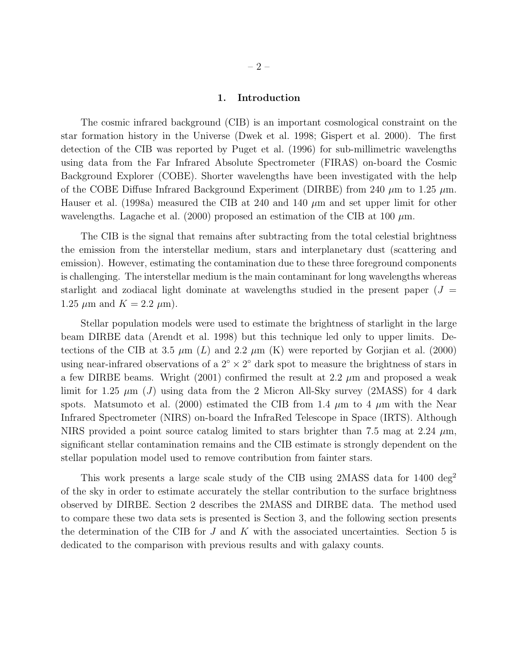# 1. Introduction

The cosmic infrared background (CIB) is an important cosmological constraint on the star formation history in the Universe (Dwek et al. 1998; Gispert et al. 2000). The first detection of the CIB was reported by Puget et al. (1996) for sub-millimetric wavelengths using data from the Far Infrared Absolute Spectrometer (FIRAS) on-board the Cosmic Background Explorer (COBE). Shorter wavelengths have been investigated with the help of the COBE Diffuse Infrared Background Experiment (DIRBE) from 240  $\mu$ m to 1.25  $\mu$ m. Hauser et al. (1998a) measured the CIB at 240 and 140  $\mu$ m and set upper limit for other wavelengths. Lagache et al. (2000) proposed an estimation of the CIB at 100  $\mu$ m.

The CIB is the signal that remains after subtracting from the total celestial brightness the emission from the interstellar medium, stars and interplanetary dust (scattering and emission). However, estimating the contamination due to these three foreground components is challenging. The interstellar medium is the main contaminant for long wavelengths whereas starlight and zodiacal light dominate at wavelengths studied in the present paper  $(J =$ 1.25  $\mu$ m and  $K = 2.2 \mu$ m).

Stellar population models were used to estimate the brightness of starlight in the large beam DIRBE data (Arendt et al. 1998) but this technique led only to upper limits. Detections of the CIB at 3.5  $\mu$ m (L) and 2.2  $\mu$ m (K) were reported by Gorjian et al. (2000) using near-infrared observations of a  $2^{\circ} \times 2^{\circ}$  dark spot to measure the brightness of stars in a few DIRBE beams. Wright  $(2001)$  confirmed the result at 2.2  $\mu$ m and proposed a weak limit for 1.25  $\mu$ m (J) using data from the 2 Micron All-Sky survey (2MASS) for 4 dark spots. Matsumoto et al. (2000) estimated the CIB from 1.4  $\mu$ m to 4  $\mu$ m with the Near Infrared Spectrometer (NIRS) on-board the InfraRed Telescope in Space (IRTS). Although NIRS provided a point source catalog limited to stars brighter than 7.5 mag at 2.24  $\mu$ m, significant stellar contamination remains and the CIB estimate is strongly dependent on the stellar population model used to remove contribution from fainter stars.

This work presents a large scale study of the CIB using 2MASS data for 1400 deg<sup>2</sup> of the sky in order to estimate accurately the stellar contribution to the surface brightness observed by DIRBE. Section 2 describes the 2MASS and DIRBE data. The method used to compare these two data sets is presented is Section 3, and the following section presents the determination of the CIB for  $J$  and  $K$  with the associated uncertainties. Section 5 is dedicated to the comparison with previous results and with galaxy counts.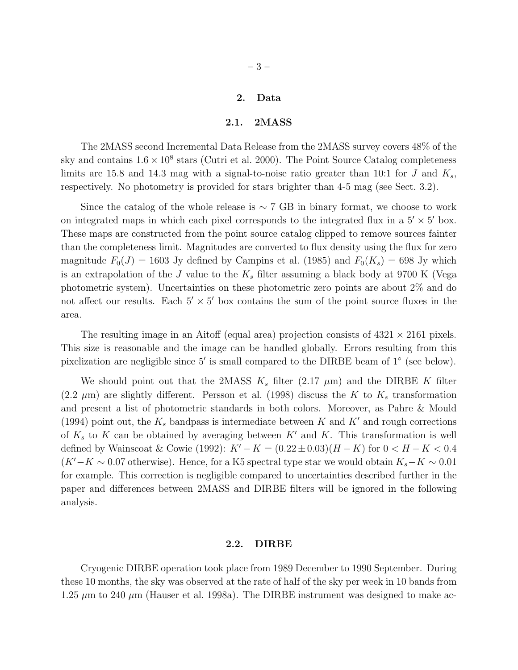# 2. Data

# 2.1. 2MASS

The 2MASS second Incremental Data Release from the 2MASS survey covers 48% of the sky and contains  $1.6 \times 10^8$  stars (Cutri et al. 2000). The Point Source Catalog completeness limits are 15.8 and 14.3 mag with a signal-to-noise ratio greater than 10:1 for J and  $K_s$ , respectively. No photometry is provided for stars brighter than 4-5 mag (see Sect. 3.2).

Since the catalog of the whole release is  $\sim 7$  GB in binary format, we choose to work on integrated maps in which each pixel corresponds to the integrated flux in a  $5' \times 5'$  box. These maps are constructed from the point source catalog clipped to remove sources fainter than the completeness limit. Magnitudes are converted to flux density using the flux for zero magnitude  $F_0(J) = 1603$  Jy defined by Campins et al. (1985) and  $F_0(K_s) = 698$  Jy which is an extrapolation of the J value to the  $K_s$  filter assuming a black body at 9700 K (Vega photometric system). Uncertainties on these photometric zero points are about 2% and do not affect our results. Each  $5' \times 5'$  box contains the sum of the point source fluxes in the area.

The resulting image in an Aitoff (equal area) projection consists of  $4321 \times 2161$  pixels. This size is reasonable and the image can be handled globally. Errors resulting from this pixelization are negligible since 5' is small compared to the DIRBE beam of 1° (see below).

We should point out that the 2MASS  $K_s$  filter (2.17  $\mu$ m) and the DIRBE K filter (2.2  $\mu$ m) are slightly different. Persson et al. (1998) discuss the K to K<sub>s</sub> transformation and present a list of photometric standards in both colors. Moreover, as Pahre & Mould (1994) point out, the  $K_s$  bandpass is intermediate between  $K$  and  $K'$  and rough corrections of  $K_s$  to K can be obtained by averaging between  $K'$  and K. This transformation is well defined by Wainscoat & Cowie (1992):  $K' - K = (0.22 \pm 0.03)(H - K)$  for  $0 < H - K < 0.4$  $(K' - K \sim 0.07$  otherwise). Hence, for a K5 spectral type star we would obtain  $K_s - K \sim 0.01$ for example. This correction is negligible compared to uncertainties described further in the paper and differences between 2MASS and DIRBE filters will be ignored in the following analysis.

#### 2.2. DIRBE

Cryogenic DIRBE operation took place from 1989 December to 1990 September. During these 10 months, the sky was observed at the rate of half of the sky per week in 10 bands from 1.25  $\mu$ m to 240  $\mu$ m (Hauser et al. 1998a). The DIRBE instrument was designed to make ac-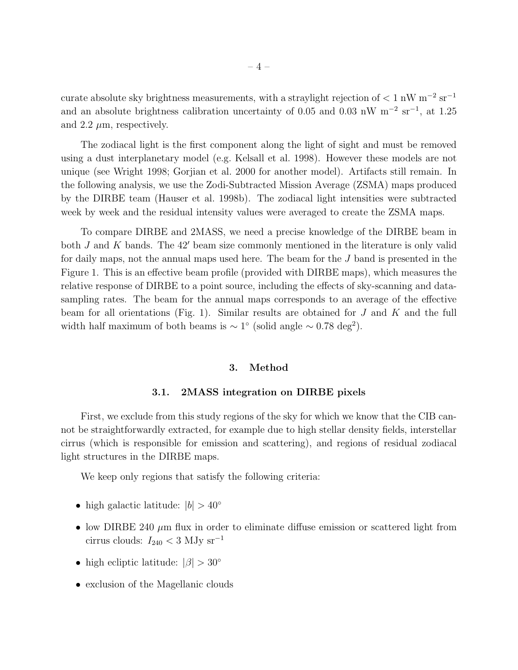curate absolute sky brightness measurements, with a straylight rejection of  $\rm < 1~nW~m^{-2}~sr^{-1}$ and an absolute brightness calibration uncertainty of 0.05 and 0.03 nW  $m^{-2}$  sr<sup>-1</sup>, at 1.25 and 2.2  $\mu$ m, respectively.

The zodiacal light is the first component along the light of sight and must be removed using a dust interplanetary model (e.g. Kelsall et al. 1998). However these models are not unique (see Wright 1998; Gorjian et al. 2000 for another model). Artifacts still remain. In the following analysis, we use the Zodi-Subtracted Mission Average (ZSMA) maps produced by the DIRBE team (Hauser et al. 1998b). The zodiacal light intensities were subtracted week by week and the residual intensity values were averaged to create the ZSMA maps.

To compare DIRBE and 2MASS, we need a precise knowledge of the DIRBE beam in both  $J$  and  $K$  bands. The 42' beam size commonly mentioned in the literature is only valid for daily maps, not the annual maps used here. The beam for the J band is presented in the Figure 1. This is an effective beam profile (provided with DIRBE maps), which measures the relative response of DIRBE to a point source, including the effects of sky-scanning and datasampling rates. The beam for the annual maps corresponds to an average of the effective beam for all orientations (Fig. 1). Similar results are obtained for  $J$  and  $K$  and the full width half maximum of both beams is  $\sim 1^{\circ}$  (solid angle  $\sim 0.78 \text{ deg}^2$ ).

## 3. Method

# 3.1. 2MASS integration on DIRBE pixels

First, we exclude from this study regions of the sky for which we know that the CIB cannot be straightforwardly extracted, for example due to high stellar density fields, interstellar cirrus (which is responsible for emission and scattering), and regions of residual zodiacal light structures in the DIRBE maps.

We keep only regions that satisfy the following criteria:

- high galactic latitude:  $|b| > 40^\circ$
- low DIRBE 240  $\mu$ m flux in order to eliminate diffuse emission or scattered light from cirrus clouds: $I_{240} < 3 \ \rm MJy \ sr^{-1}$
- high ecliptic latitude:  $|\beta| > 30^{\circ}$
- exclusion of the Magellanic clouds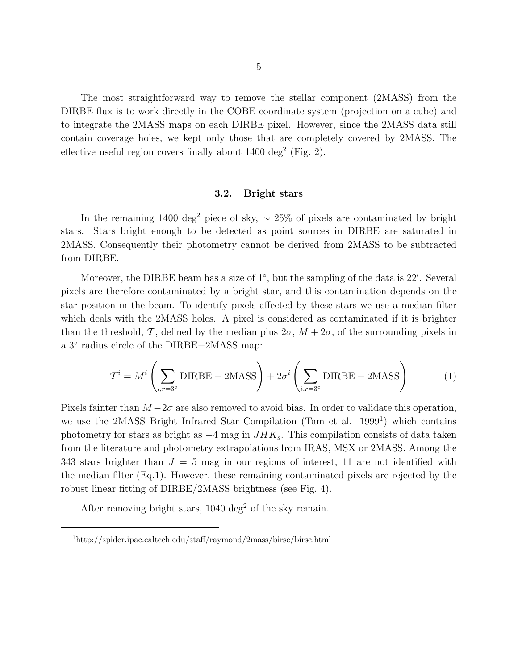The most straightforward way to remove the stellar component (2MASS) from the DIRBE flux is to work directly in the COBE coordinate system (projection on a cube) and to integrate the 2MASS maps on each DIRBE pixel. However, since the 2MASS data still contain coverage holes, we kept only those that are completely covered by 2MASS. The effective useful region covers finally about  $1400 \text{ deg}^2$  (Fig. 2).

#### 3.2. Bright stars

In the remaining 1400 deg<sup>2</sup> piece of sky,  $\sim 25\%$  of pixels are contaminated by bright stars. Stars bright enough to be detected as point sources in DIRBE are saturated in 2MASS. Consequently their photometry cannot be derived from 2MASS to be subtracted from DIRBE.

Moreover, the DIRBE beam has a size of 1<sup>°</sup>, but the sampling of the data is 22'. Several pixels are therefore contaminated by a bright star, and this contamination depends on the star position in the beam. To identify pixels affected by these stars we use a median filter which deals with the 2MASS holes. A pixel is considered as contaminated if it is brighter than the threshold, T, defined by the median plus  $2\sigma$ ,  $M + 2\sigma$ , of the surrounding pixels in a 3◦ radius circle of the DIRBE−2MASS map:

$$
\mathcal{T}^{i} = M^{i} \left( \sum_{i,r=3^{\circ}} \text{DIRBE} - 2 \text{MASS} \right) + 2\sigma^{i} \left( \sum_{i,r=3^{\circ}} \text{DIRBE} - 2 \text{MASS} \right) \tag{1}
$$

Pixels fainter than  $M - 2\sigma$  are also removed to avoid bias. In order to validate this operation, we use the 2MASS Bright Infrared Star Compilation (Tam et al. 1999<sup>1</sup>) which contains photometry for stars as bright as  $-4$  mag in  $JHK_s$ . This compilation consists of data taken from the literature and photometry extrapolations from IRAS, MSX or 2MASS. Among the 343 stars brighter than  $J = 5$  mag in our regions of interest, 11 are not identified with the median filter (Eq.1). However, these remaining contaminated pixels are rejected by the robust linear fitting of DIRBE/2MASS brightness (see Fig. 4).

After removing bright stars,  $1040 \text{ deg}^2$  of the sky remain.

<sup>1</sup>http://spider.ipac.caltech.edu/staff/raymond/2mass/birsc/birsc.html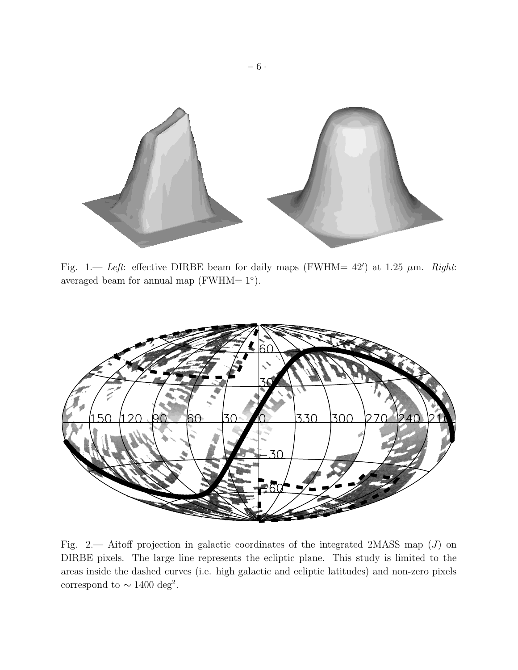

Fig. 1.— Left: effective DIRBE beam for daily maps (FWHM=  $42'$ ) at 1.25  $\mu$ m. Right: averaged beam for annual map  $(FWHM=1°)$ .



Fig. 2.— Aitoff projection in galactic coordinates of the integrated 2MASS map  $(J)$  on DIRBE pixels. The large line represents the ecliptic plane. This study is limited to the areas inside the dashed curves (i.e. high galactic and ecliptic latitudes) and non-zero pixels correspond to  $\sim 1400 \text{ deg}^2$ .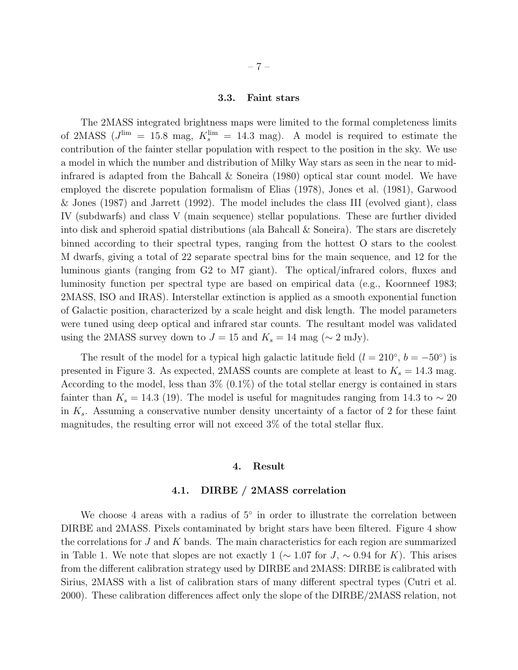# 3.3. Faint stars

The 2MASS integrated brightness maps were limited to the formal completeness limits of 2MASS  $(J^{\text{lim}} = 15.8 \text{ mag}, K^{\text{lim}}_{s} = 14.3 \text{ mag}).$  A model is required to estimate the contribution of the fainter stellar population with respect to the position in the sky. We use a model in which the number and distribution of Milky Way stars as seen in the near to midinfrared is adapted from the Bahcall  $\&$  Soneira (1980) optical star count model. We have employed the discrete population formalism of Elias (1978), Jones et al. (1981), Garwood & Jones (1987) and Jarrett (1992). The model includes the class III (evolved giant), class IV (subdwarfs) and class V (main sequence) stellar populations. These are further divided into disk and spheroid spatial distributions (ala Bahcall & Soneira). The stars are discretely binned according to their spectral types, ranging from the hottest O stars to the coolest M dwarfs, giving a total of 22 separate spectral bins for the main sequence, and 12 for the luminous giants (ranging from G2 to M7 giant). The optical/infrared colors, fluxes and luminosity function per spectral type are based on empirical data (e.g., Koornneef 1983; 2MASS, ISO and IRAS). Interstellar extinction is applied as a smooth exponential function of Galactic position, characterized by a scale height and disk length. The model parameters were tuned using deep optical and infrared star counts. The resultant model was validated using the 2MASS survey down to  $J = 15$  and  $K_s = 14$  mag ( $\sim 2$  mJy).

The result of the model for a typical high galactic latitude field  $(l = 210^{\circ}, b = -50^{\circ})$  is presented in Figure 3. As expected, 2MASS counts are complete at least to  $K_s = 14.3$  mag. According to the model, less than  $3\%$   $(0.1\%)$  of the total stellar energy is contained in stars fainter than  $K_s = 14.3$  (19). The model is useful for magnitudes ranging from 14.3 to  $\sim 20$ in  $K_s$ . Assuming a conservative number density uncertainty of a factor of 2 for these faint magnitudes, the resulting error will not exceed 3% of the total stellar flux.

# 4. Result

# 4.1. DIRBE / 2MASS correlation

We choose 4 areas with a radius of  $5°$  in order to illustrate the correlation between DIRBE and 2MASS. Pixels contaminated by bright stars have been filtered. Figure 4 show the correlations for  $J$  and  $K$  bands. The main characteristics for each region are summarized in Table 1. We note that slopes are not exactly 1 ( $\sim$  1.07 for J,  $\sim$  0.94 for K). This arises from the different calibration strategy used by DIRBE and 2MASS: DIRBE is calibrated with Sirius, 2MASS with a list of calibration stars of many different spectral types (Cutri et al. 2000). These calibration differences affect only the slope of the DIRBE/2MASS relation, not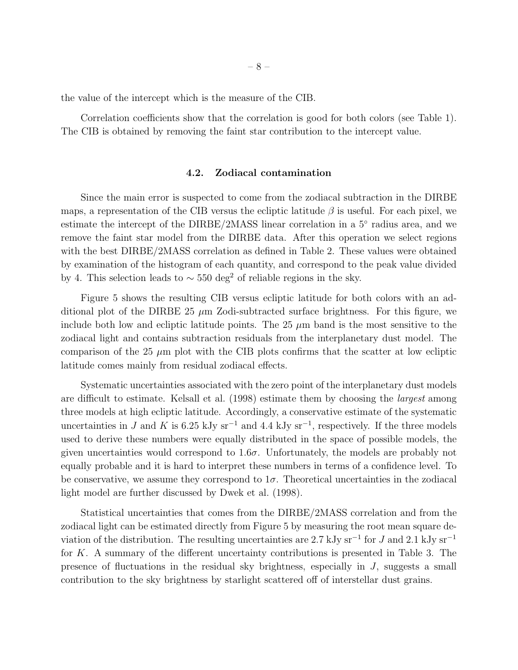the value of the intercept which is the measure of the CIB.

Correlation coefficients show that the correlation is good for both colors (see Table 1). The CIB is obtained by removing the faint star contribution to the intercept value.

#### 4.2. Zodiacal contamination

Since the main error is suspected to come from the zodiacal subtraction in the DIRBE maps, a representation of the CIB versus the ecliptic latitude  $\beta$  is useful. For each pixel, we estimate the intercept of the DIRBE/2MASS linear correlation in a 5<sup>°</sup> radius area, and we remove the faint star model from the DIRBE data. After this operation we select regions with the best  $DIRBE/2MASS$  correlation as defined in Table 2. These values were obtained by examination of the histogram of each quantity, and correspond to the peak value divided by 4. This selection leads to  $\sim$  550 deg<sup>2</sup> of reliable regions in the sky.

Figure 5 shows the resulting CIB versus ecliptic latitude for both colors with an additional plot of the DIRBE 25  $\mu$ m Zodi-subtracted surface brightness. For this figure, we include both low and ecliptic latitude points. The  $25 \mu m$  band is the most sensitive to the zodiacal light and contains subtraction residuals from the interplanetary dust model. The comparison of the 25  $\mu$ m plot with the CIB plots confirms that the scatter at low ecliptic latitude comes mainly from residual zodiacal effects.

Systematic uncertainties associated with the zero point of the interplanetary dust models are difficult to estimate. Kelsall et al. (1998) estimate them by choosing the largest among three models at high ecliptic latitude. Accordingly, a conservative estimate of the systematic uncertainties in J and K is 6.25 kJy sr<sup>-1</sup> and 4.4 kJy sr<sup>-1</sup>, respectively. If the three models used to derive these numbers were equally distributed in the space of possible models, the given uncertainties would correspond to  $1.6\sigma$ . Unfortunately, the models are probably not equally probable and it is hard to interpret these numbers in terms of a confidence level. To be conservative, we assume they correspond to  $1\sigma$ . Theoretical uncertainties in the zodiacal light model are further discussed by Dwek et al. (1998).

Statistical uncertainties that comes from the DIRBE/2MASS correlation and from the zodiacal light can be estimated directly from Figure 5 by measuring the root mean square deviation of the distribution. The resulting uncertainties are 2.7 kJy sr<sup>-1</sup> for J and 2.1 kJy sr<sup>-1</sup> for K. A summary of the different uncertainty contributions is presented in Table 3. The presence of fluctuations in the residual sky brightness, especially in J, suggests a small contribution to the sky brightness by starlight scattered off of interstellar dust grains.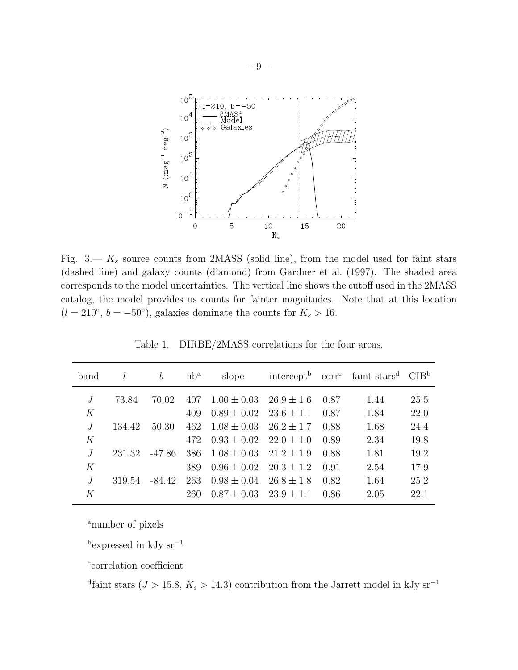

Fig.  $3 - K_s$  source counts from 2MASS (solid line), from the model used for faint stars (dashed line) and galaxy counts (diamond) from Gardner et al. (1997). The shaded area corresponds to the model uncertainties. The vertical line shows the cutoff used in the 2MASS catalog, the model provides us counts for fainter magnitudes. Note that at this location  $(l = 210^{\circ}, b = -50^{\circ})$ , galaxies dominate the counts for  $K_s > 16$ .

| band | l      | $\boldsymbol{b}$ | $nb^a$ | slope                          |       | intercept <sup>b</sup> corr <sup>c</sup> faint stars <sup>d</sup> CIB <sup>b</sup> |      |
|------|--------|------------------|--------|--------------------------------|-------|------------------------------------------------------------------------------------|------|
|      | 73.84  | 70.02            | 407    | $1.00 \pm 0.03$ $26.9 \pm 1.6$ | -0.87 | 1.44                                                                               | 25.5 |
| K    |        |                  | 409    | $0.89 \pm 0.02$ $23.6 \pm 1.1$ | 0.87  | 1.84                                                                               | 22.0 |
|      | 134.42 | 50.30            | 462    | $1.08 \pm 0.03$ $26.2 \pm 1.7$ | 0.88  | 1.68                                                                               | 24.4 |
| K    |        |                  | 472    | $0.93 \pm 0.02$ $22.0 \pm 1.0$ | 0.89  | 2.34                                                                               | 19.8 |
|      | 231.32 | -47.86           | 386    | $1.08 \pm 0.03$ $21.2 \pm 1.9$ | 0.88  | 1.81                                                                               | 19.2 |
| K    |        |                  | 389    | $0.96 \pm 0.02$ $20.3 \pm 1.2$ | 0.91  | 2.54                                                                               | 17.9 |
|      | 319.54 | $-84.42$         | 263    | $0.98 \pm 0.04$ $26.8 \pm 1.8$ | 0.82  | 1.64                                                                               | 25.2 |
| K    |        |                  | 260    | $0.87 \pm 0.03$ $23.9 \pm 1.1$ | 0.86  | 2.05                                                                               | 22.1 |

Table 1. DIRBE/2MASS correlations for the four areas.

<sup>a</sup>number of pixels

 $\rm ^b$  expressed in kJy sr<sup>-1</sup>

c correlation coefficient

<sup>d</sup>faint stars ( $J > 15.8, K_s > 14.3$ ) contribution from the Jarrett model in kJy sr<sup>-1</sup>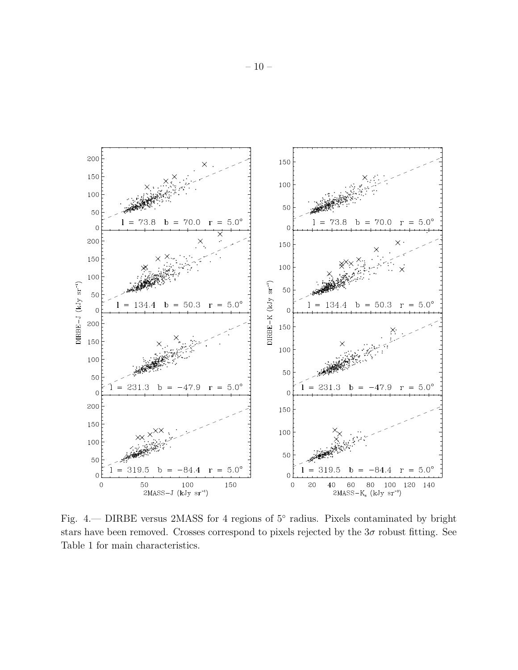

Fig. 4. DIRBE versus 2MASS for 4 regions of 5° radius. Pixels contaminated by bright stars have been removed. Crosses correspond to pixels rejected by the  $3\sigma$  robust fitting. See Table 1 for main characteristics.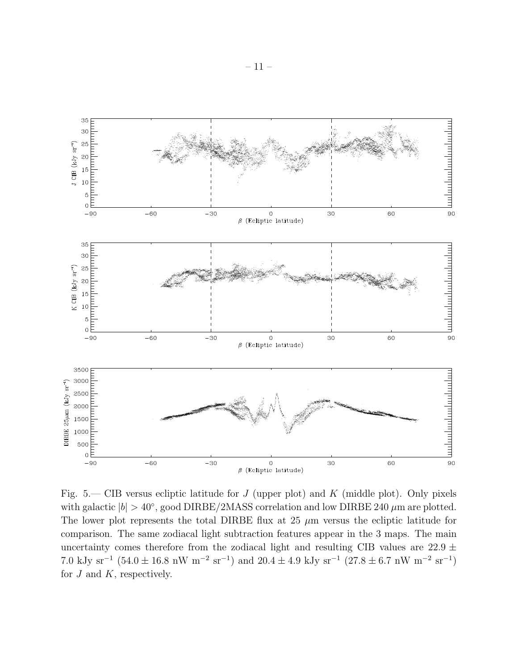

Fig. 5.— CIB versus ecliptic latitude for  $J$  (upper plot) and  $K$  (middle plot). Only pixels with galactic  $|b| > 40^{\circ}$ , good DIRBE/2MASS correlation and low DIRBE 240  $\mu$ m are plotted. The lower plot represents the total DIRBE flux at 25  $\mu$ m versus the ecliptic latitude for comparison. The same zodiacal light subtraction features appear in the 3 maps. The main uncertainty comes therefore from the zodiacal light and resulting CIB values are  $22.9 \pm$ 7.0 kJy sr<sup>-1</sup> (54.0 ± 16.8 nW m<sup>-2</sup> sr<sup>-1</sup>) and 20.4 ± 4.9 kJy sr<sup>-1</sup> (27.8 ± 6.7 nW m<sup>-2</sup> sr<sup>-1</sup>) for  $J$  and  $K$ , respectively.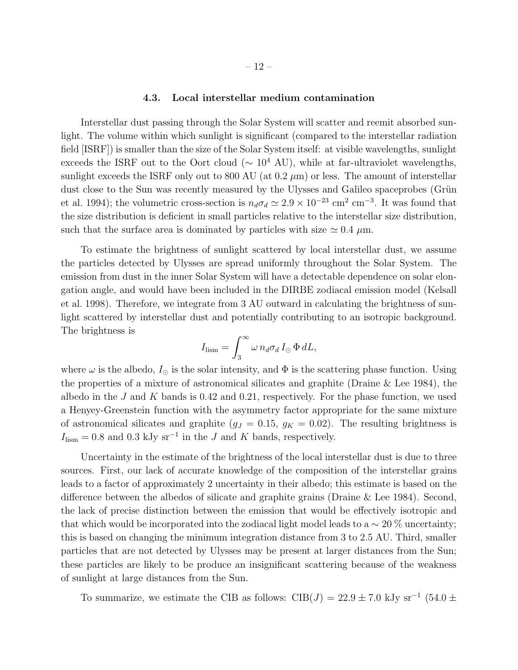## 4.3. Local interstellar medium contamination

Interstellar dust passing through the Solar System will scatter and reemit absorbed sunlight. The volume within which sunlight is significant (compared to the interstellar radiation field [ISRF]) is smaller than the size of the Solar System itself: at visible wavelengths, sunlight exceeds the ISRF out to the Oort cloud ( $\sim 10^4$  AU), while at far-ultraviolet wavelengths, sunlight exceeds the ISRF only out to 800 AU (at 0.2  $\mu$ m) or less. The amount of interstellar dust close to the Sun was recently measured by the Ulysses and Galileo spaceprobes (Grün et al. 1994); the volumetric cross-section is  $n_d\sigma_d \simeq 2.9 \times 10^{-23}$  cm<sup>-3</sup>. It was found that the size distribution is deficient in small particles relative to the interstellar size distribution, such that the surface area is dominated by particles with size  $\simeq 0.4 \mu$ m.

To estimate the brightness of sunlight scattered by local interstellar dust, we assume the particles detected by Ulysses are spread uniformly throughout the Solar System. The emission from dust in the inner Solar System will have a detectable dependence on solar elongation angle, and would have been included in the DIRBE zodiacal emission model (Kelsall et al. 1998). Therefore, we integrate from 3 AU outward in calculating the brightness of sunlight scattered by interstellar dust and potentially contributing to an isotropic background. The brightness is

$$
I_{\text{lism}} = \int_3^\infty \omega \, n_d \sigma_d \, I_\odot \, \Phi \, dL,
$$

where  $\omega$  is the albedo,  $I_{\odot}$  is the solar intensity, and  $\Phi$  is the scattering phase function. Using the properties of a mixture of astronomical silicates and graphite (Draine & Lee 1984), the albedo in the J and K bands is 0.42 and 0.21, respectively. For the phase function, we used a Henyey-Greenstein function with the asymmetry factor appropriate for the same mixture of astronomical silicates and graphite ( $g_J = 0.15$ ,  $g_K = 0.02$ ). The resulting brightness is  $I_{\text{lism}} = 0.8$  and 0.3 kJy sr<sup>-1</sup> in the J and K bands, respectively.

Uncertainty in the estimate of the brightness of the local interstellar dust is due to three sources. First, our lack of accurate knowledge of the composition of the interstellar grains leads to a factor of approximately 2 uncertainty in their albedo; this estimate is based on the difference between the albedos of silicate and graphite grains (Draine & Lee 1984). Second, the lack of precise distinction between the emission that would be effectively isotropic and that which would be incorporated into the zodiacal light model leads to a  $\sim 20\%$  uncertainty; this is based on changing the minimum integration distance from 3 to 2.5 AU. Third, smaller particles that are not detected by Ulysses may be present at larger distances from the Sun; these particles are likely to be produce an insignificant scattering because of the weakness of sunlight at large distances from the Sun.

To summarize, we estimate the CIB as follows: CIB( $J$ ) = 22.9 ± 7.0 kJy sr<sup>-1</sup> (54.0 ±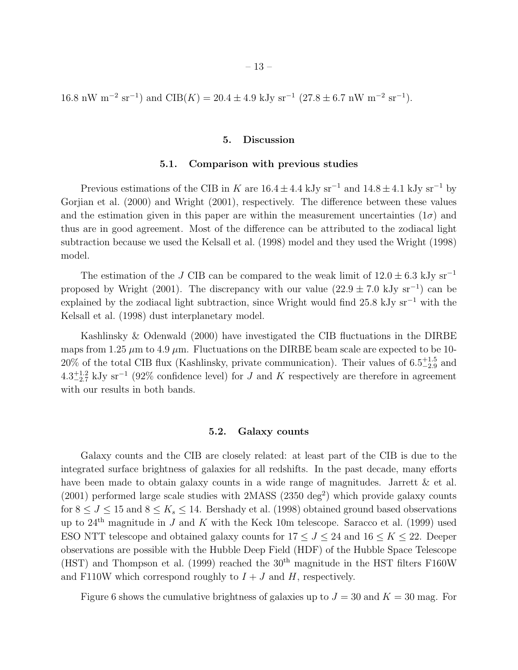16.8 nW m<sup>-2</sup> sr<sup>-1</sup>) and CIB(K) = 20.4 ± 4.9 kJy sr<sup>-1</sup> (27.8 ± 6.7 nW m<sup>-2</sup> sr<sup>-1</sup>).

# 5. Discussion

#### 5.1. Comparison with previous studies

Previous estimations of the CIB in K are  $16.4 \pm 4.4$  kJy sr<sup>-1</sup> and  $14.8 \pm 4.1$  kJy sr<sup>-1</sup> by Gorjian et al. (2000) and Wright (2001), respectively. The difference between these values and the estimation given in this paper are within the measurement uncertainties  $(1\sigma)$  and thus are in good agreement. Most of the difference can be attributed to the zodiacal light subtraction because we used the Kelsall et al. (1998) model and they used the Wright (1998) model.

The estimation of the J CIB can be compared to the weak limit of  $12.0 \pm 6.3$  kJy sr<sup>−1</sup> proposed by Wright (2001). The discrepancy with our value  $(22.9 \pm 7.0 \text{ kJy sr}^{-1})$  can be explained by the zodiacal light subtraction, since Wright would find 25.8 kJy  $sr^{-1}$  with the Kelsall et al. (1998) dust interplanetary model.

Kashlinsky & Odenwald (2000) have investigated the CIB fluctuations in the DIRBE maps from 1.25  $\mu$ m to 4.9  $\mu$ m. Fluctuations on the DIRBE beam scale are expected to be 10-20% of the total CIB flux (Kashlinsky, private communication). Their values of  $6.5^{+1.5}_{-2.9}$  and  $4.3^{+1.2}_{-2.7}$  kJy sr<sup>-1</sup> (92% confidence level) for J and K respectively are therefore in agreement with our results in both bands.

#### 5.2. Galaxy counts

Galaxy counts and the CIB are closely related: at least part of the CIB is due to the integrated surface brightness of galaxies for all redshifts. In the past decade, many efforts have been made to obtain galaxy counts in a wide range of magnitudes. Jarrett & et al.  $(2001)$  performed large scale studies with 2MASS  $(2350 \text{ deg}^2)$  which provide galaxy counts for  $8 \leq J \leq 15$  and  $8 \leq K_s \leq 14$ . Bershady et al. (1998) obtained ground based observations up to  $24<sup>th</sup>$  magnitude in J and K with the Keck 10m telescope. Saracco et al. (1999) used ESO NTT telescope and obtained galaxy counts for  $17 \leq J \leq 24$  and  $16 \leq K \leq 22$ . Deeper observations are possible with the Hubble Deep Field (HDF) of the Hubble Space Telescope (HST) and Thompson et al. (1999) reached the  $30<sup>th</sup>$  magnitude in the HST filters F160W and F110W which correspond roughly to  $I + J$  and H, respectively.

Figure 6 shows the cumulative brightness of galaxies up to  $J = 30$  and  $K = 30$  mag. For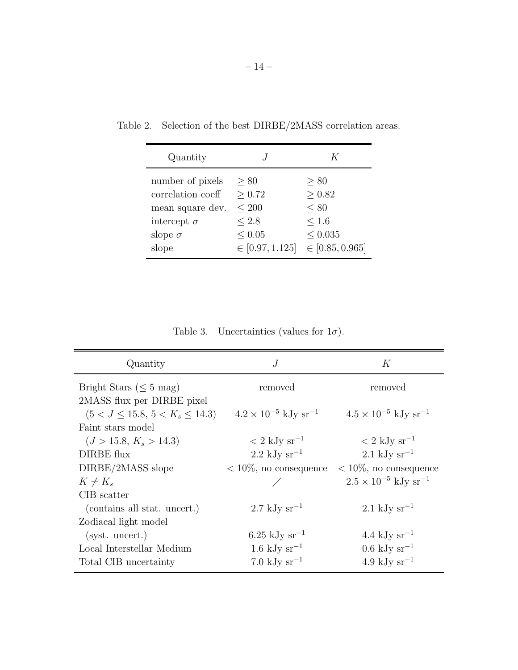| Quantity           |                     | K                   |
|--------------------|---------------------|---------------------|
| number of pixels   | > 80                | > 80                |
| correlation coeff  | > 0.72              | > 0.82              |
| mean square dev.   | $\leq 200$          | $\leq 80$           |
| intercept $\sigma$ | ${}_{< 2.8}$        | $\leq 1.6$          |
| slope $\sigma$     | ${}< 0.05$          | < 0.035             |
| slope              | $\in [0.97, 1.125]$ | $\in [0.85, 0.965]$ |

Table 2. Selection of the best DIRBE/2MASS correlation areas.

Table 3. Uncertainties (values for  $1\sigma$ ).

| Quantity                             | J                                         | К                                         |
|--------------------------------------|-------------------------------------------|-------------------------------------------|
| Bright Stars ( $\leq 5$ mag)         | removed                                   | removed                                   |
| 2MASS flux per DIRBE pixel           |                                           |                                           |
| $(5 < J \le 15.8, 5 < K_s \le 14.3)$ | $4.2 \times 10^{-5}$ kJy sr <sup>-1</sup> | $4.5 \times 10^{-5}$ kJy sr <sup>-1</sup> |
| Faint stars model                    |                                           |                                           |
| $(J > 15.8, K_s > 14.3)$             | $\rm < 2~kJy~sr^{-1}$                     | $\rm < 2~kJy~sr^{-1}$                     |
| DIRBE flux                           | $2.2 \text{ kJy sr}^{-1}$                 | $2.1 \text{ kJy sr}^{-1}$                 |
| DIRBE/2MASS slope                    | $< 10\%$ , no consequence                 | $< 10\%$ , no consequence                 |
| $K \neq K_s$                         |                                           | $2.5 \times 10^{-5}$ kJy sr <sup>-1</sup> |
| CIB scatter                          |                                           |                                           |
| (contains all stat. uncert.)         | $2.7 \text{ kJy sr}^{-1}$                 | $2.1 \text{ kJy sr}^{-1}$                 |
| Zodiacal light model                 |                                           |                                           |
| $(syst.$ uncert.)                    | 6.25 kJy sr <sup>-1</sup>                 | 4.4 kJy sr <sup>-1</sup>                  |
| Local Interstellar Medium            | $1.6 \text{ kJy sr}^{-1}$                 | $0.6 \mathrm{~kJy~sr}^{-1}$               |
| Total CIB uncertainty                | $7.0 \text{ kJy sr}^{-1}$                 | 4.9 kJy $\rm sr^{-1}$                     |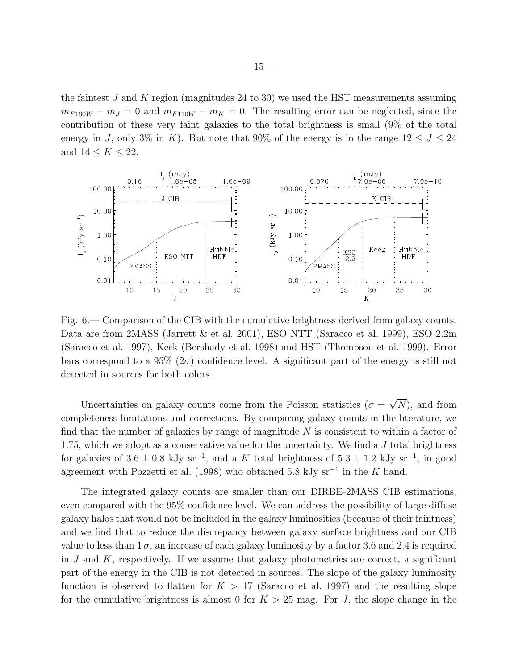the faintest J and K region (magnitudes 24 to 30) we used the HST measurements assuming  $m_{F160W} - m_J = 0$  and  $m_{F110W} - m_K = 0$ . The resulting error can be neglected, since the contribution of these very faint galaxies to the total brightness is small (9% of the total energy in J, only 3% in K). But note that 90% of the energy is in the range  $12 \leq J \leq 24$ and  $14 \leq K \leq 22$ .



Fig. 6.— Comparison of the CIB with the cumulative brightness derived from galaxy counts. Data are from 2MASS (Jarrett & et al. 2001), ESO NTT (Saracco et al. 1999), ESO 2.2m (Saracco et al. 1997), Keck (Bershady et al. 1998) and HST (Thompson et al. 1999). Error bars correspond to a  $95\%$  ( $2\sigma$ ) confidence level. A significant part of the energy is still not detected in sources for both colors.

Uncertainties on galaxy counts come from the Poisson statistics  $(\sigma = \sqrt{N})$ , and from completeness limitations and corrections. By comparing galaxy counts in the literature, we find that the number of galaxies by range of magnitude  $N$  is consistent to within a factor of 1.75, which we adopt as a conservative value for the uncertainty. We find a  $J$  total brightness for galaxies of  $3.6 \pm 0.8$  kJy sr<sup>-1</sup>, and a K total brightness of  $5.3 \pm 1.2$  kJy sr<sup>-1</sup>, in good agreement with Pozzetti et al. (1998) who obtained 5.8 kJy sr<sup>-1</sup> in the K band.

The integrated galaxy counts are smaller than our DIRBE-2MASS CIB estimations, even compared with the 95% confidence level. We can address the possibility of large diffuse galaxy halos that would not be included in the galaxy luminosities (because of their faintness) and we find that to reduce the discrepancy between galaxy surface brightness and our CIB value to less than  $1\sigma$ , an increase of each galaxy luminosity by a factor 3.6 and 2.4 is required in  $J$  and  $K$ , respectively. If we assume that galaxy photometries are correct, a significant part of the energy in the CIB is not detected in sources. The slope of the galaxy luminosity function is observed to flatten for  $K > 17$  (Saracco et al. 1997) and the resulting slope for the cumulative brightness is almost 0 for  $K > 25$  mag. For J, the slope change in the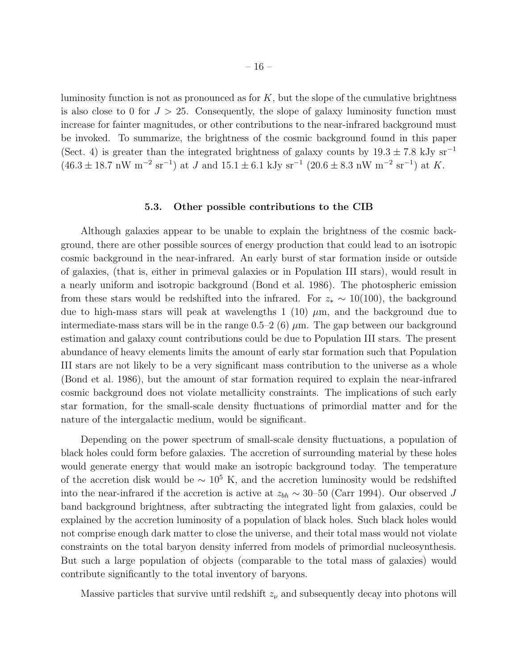luminosity function is not as pronounced as for  $K$ , but the slope of the cumulative brightness is also close to 0 for  $J > 25$ . Consequently, the slope of galaxy luminosity function must increase for fainter magnitudes, or other contributions to the near-infrared background must be invoked. To summarize, the brightness of the cosmic background found in this paper (Sect. 4) is greater than the integrated brightness of galaxy counts by  $19.3 \pm 7.8$  kJy sr<sup>-1</sup>  $(46.3 \pm 18.7 \text{ nW m}^{-2} \text{ sr}^{-1})$  at J and  $15.1 \pm 6.1 \text{ kJy sr}^{-1}$   $(20.6 \pm 8.3 \text{ nW m}^{-2} \text{ sr}^{-1})$  at K.

#### 5.3. Other possible contributions to the CIB

Although galaxies appear to be unable to explain the brightness of the cosmic background, there are other possible sources of energy production that could lead to an isotropic cosmic background in the near-infrared. An early burst of star formation inside or outside of galaxies, (that is, either in primeval galaxies or in Population III stars), would result in a nearly uniform and isotropic background (Bond et al. 1986). The photospheric emission from these stars would be redshifted into the infrared. For  $z_* \sim 10(100)$ , the background due to high-mass stars will peak at wavelengths 1 (10)  $\mu$ m, and the background due to intermediate-mass stars will be in the range  $0.5-2$  (6)  $\mu$ m. The gap between our background estimation and galaxy count contributions could be due to Population III stars. The present abundance of heavy elements limits the amount of early star formation such that Population III stars are not likely to be a very significant mass contribution to the universe as a whole (Bond et al. 1986), but the amount of star formation required to explain the near-infrared cosmic background does not violate metallicity constraints. The implications of such early star formation, for the small-scale density fluctuations of primordial matter and for the nature of the intergalactic medium, would be significant.

Depending on the power spectrum of small-scale density fluctuations, a population of black holes could form before galaxies. The accretion of surrounding material by these holes would generate energy that would make an isotropic background today. The temperature of the accretion disk would be  $\sim 10^5$  K, and the accretion luminosity would be redshifted into the near-infrared if the accretion is active at  $z_{bh} \sim 30$ –50 (Carr 1994). Our observed J band background brightness, after subtracting the integrated light from galaxies, could be explained by the accretion luminosity of a population of black holes. Such black holes would not comprise enough dark matter to close the universe, and their total mass would not violate constraints on the total baryon density inferred from models of primordial nucleosynthesis. But such a large population of objects (comparable to the total mass of galaxies) would contribute significantly to the total inventory of baryons.

Massive particles that survive until redshift  $z<sub>\nu</sub>$  and subsequently decay into photons will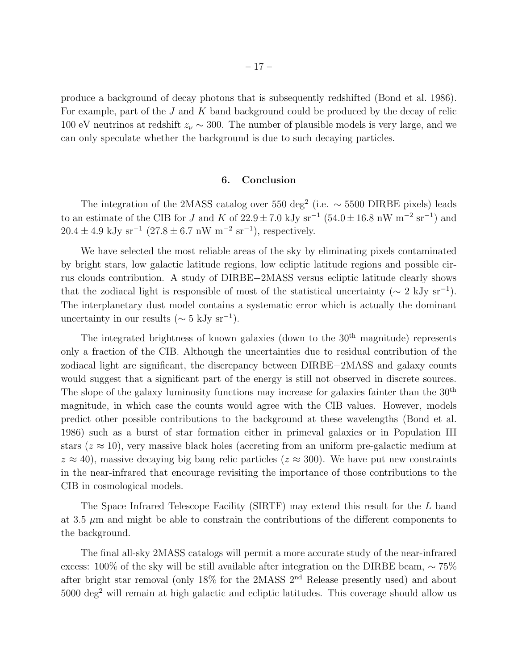produce a background of decay photons that is subsequently redshifted (Bond et al. 1986). For example, part of the J and K band background could be produced by the decay of relic 100 eV neutrinos at redshift  $z_{\nu} \sim 300$ . The number of plausible models is very large, and we can only speculate whether the background is due to such decaying particles.

#### 6. Conclusion

The integration of the 2MASS catalog over 550 deg<sup>2</sup> (i.e.  $\sim$  5500 DIRBE pixels) leads to an estimate of the CIB for J and K of  $22.9 \pm 7.0$  kJy sr<sup>-1</sup> (54.0  $\pm 16.8$  nW m<sup>-2</sup> sr<sup>-1</sup>) and  $20.4 \pm 4.9$  kJy sr<sup>-1</sup> (27.8  $\pm$  6.7 nW m<sup>-2</sup> sr<sup>-1</sup>), respectively.

We have selected the most reliable areas of the sky by eliminating pixels contaminated by bright stars, low galactic latitude regions, low ecliptic latitude regions and possible cirrus clouds contribution. A study of DIRBE−2MASS versus ecliptic latitude clearly shows that the zodiacal light is responsible of most of the statistical uncertainty ( $\sim 2 \text{ kJy sr}^{-1}$ ). The interplanetary dust model contains a systematic error which is actually the dominant uncertainty in our results ( $\sim$  5 kJy sr<sup>-1</sup>).

The integrated brightness of known galaxies (down to the  $30<sup>th</sup>$  magnitude) represents only a fraction of the CIB. Although the uncertainties due to residual contribution of the zodiacal light are significant, the discrepancy between DIRBE−2MASS and galaxy counts would suggest that a significant part of the energy is still not observed in discrete sources. The slope of the galaxy luminosity functions may increase for galaxies fainter than the 30th magnitude, in which case the counts would agree with the CIB values. However, models predict other possible contributions to the background at these wavelengths (Bond et al. 1986) such as a burst of star formation either in primeval galaxies or in Population III stars ( $z \approx 10$ ), very massive black holes (accreting from an uniform pre-galactic medium at  $z \approx 40$ , massive decaying big bang relic particles ( $z \approx 300$ ). We have put new constraints in the near-infrared that encourage revisiting the importance of those contributions to the CIB in cosmological models.

The Space Infrared Telescope Facility (SIRTF) may extend this result for the L band at 3.5  $\mu$ m and might be able to constrain the contributions of the different components to the background.

The final all-sky 2MASS catalogs will permit a more accurate study of the near-infrared excess: 100% of the sky will be still available after integration on the DIRBE beam, ∼ 75% after bright star removal (only 18% for the 2MASS 2nd Release presently used) and about 5000 deg<sup>2</sup> will remain at high galactic and ecliptic latitudes. This coverage should allow us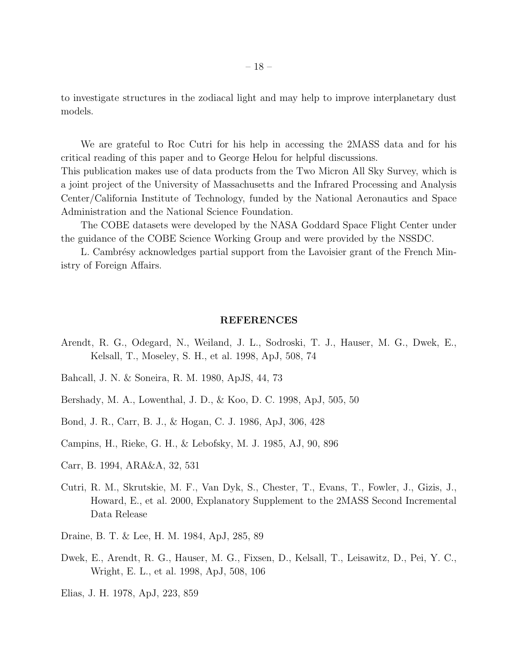to investigate structures in the zodiacal light and may help to improve interplanetary dust models.

We are grateful to Roc Cutri for his help in accessing the 2MASS data and for his critical reading of this paper and to George Helou for helpful discussions.

This publication makes use of data products from the Two Micron All Sky Survey, which is a joint project of the University of Massachusetts and the Infrared Processing and Analysis Center/California Institute of Technology, funded by the National Aeronautics and Space Administration and the National Science Foundation.

The COBE datasets were developed by the NASA Goddard Space Flight Center under the guidance of the COBE Science Working Group and were provided by the NSSDC.

L. Cambrésy acknowledges partial support from the Lavoisier grant of the French Ministry of Foreign Affairs.

#### REFERENCES

- Arendt, R. G., Odegard, N., Weiland, J. L., Sodroski, T. J., Hauser, M. G., Dwek, E., Kelsall, T., Moseley, S. H., et al. 1998, ApJ, 508, 74
- Bahcall, J. N. & Soneira, R. M. 1980, ApJS, 44, 73
- Bershady, M. A., Lowenthal, J. D., & Koo, D. C. 1998, ApJ, 505, 50
- Bond, J. R., Carr, B. J., & Hogan, C. J. 1986, ApJ, 306, 428
- Campins, H., Rieke, G. H., & Lebofsky, M. J. 1985, AJ, 90, 896
- Carr, B. 1994, ARA&A, 32, 531
- Cutri, R. M., Skrutskie, M. F., Van Dyk, S., Chester, T., Evans, T., Fowler, J., Gizis, J., Howard, E., et al. 2000, Explanatory Supplement to the 2MASS Second Incremental Data Release
- Draine, B. T. & Lee, H. M. 1984, ApJ, 285, 89
- Dwek, E., Arendt, R. G., Hauser, M. G., Fixsen, D., Kelsall, T., Leisawitz, D., Pei, Y. C., Wright, E. L., et al. 1998, ApJ, 508, 106

Elias, J. H. 1978, ApJ, 223, 859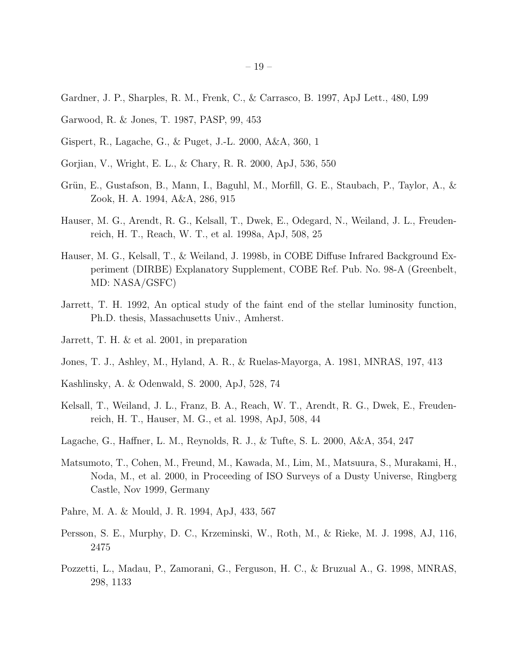- Gardner, J. P., Sharples, R. M., Frenk, C., & Carrasco, B. 1997, ApJ Lett., 480, L99
- Garwood, R. & Jones, T. 1987, PASP, 99, 453
- Gispert, R., Lagache, G., & Puget, J.-L. 2000, A&A, 360, 1
- Gorjian, V., Wright, E. L., & Chary, R. R. 2000, ApJ, 536, 550
- Grün, E., Gustafson, B., Mann, I., Baguhl, M., Morfill, G. E., Staubach, P., Taylor, A., & Zook, H. A. 1994, A&A, 286, 915
- Hauser, M. G., Arendt, R. G., Kelsall, T., Dwek, E., Odegard, N., Weiland, J. L., Freudenreich, H. T., Reach, W. T., et al. 1998a, ApJ, 508, 25
- Hauser, M. G., Kelsall, T., & Weiland, J. 1998b, in COBE Diffuse Infrared Background Experiment (DIRBE) Explanatory Supplement, COBE Ref. Pub. No. 98-A (Greenbelt, MD: NASA/GSFC)
- Jarrett, T. H. 1992, An optical study of the faint end of the stellar luminosity function, Ph.D. thesis, Massachusetts Univ., Amherst.
- Jarrett, T. H. & et al. 2001, in preparation
- Jones, T. J., Ashley, M., Hyland, A. R., & Ruelas-Mayorga, A. 1981, MNRAS, 197, 413
- Kashlinsky, A. & Odenwald, S. 2000, ApJ, 528, 74
- Kelsall, T., Weiland, J. L., Franz, B. A., Reach, W. T., Arendt, R. G., Dwek, E., Freudenreich, H. T., Hauser, M. G., et al. 1998, ApJ, 508, 44
- Lagache, G., Haffner, L. M., Reynolds, R. J., & Tufte, S. L. 2000, A&A, 354, 247
- Matsumoto, T., Cohen, M., Freund, M., Kawada, M., Lim, M., Matsuura, S., Murakami, H., Noda, M., et al. 2000, in Proceeding of ISO Surveys of a Dusty Universe, Ringberg Castle, Nov 1999, Germany
- Pahre, M. A. & Mould, J. R. 1994, ApJ, 433, 567
- Persson, S. E., Murphy, D. C., Krzeminski, W., Roth, M., & Rieke, M. J. 1998, AJ, 116, 2475
- Pozzetti, L., Madau, P., Zamorani, G., Ferguson, H. C., & Bruzual A., G. 1998, MNRAS, 298, 1133